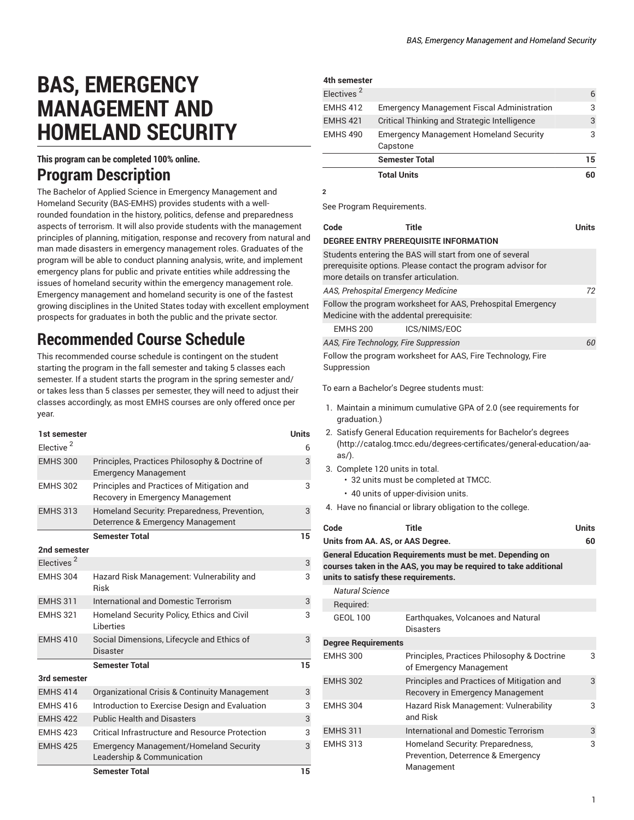# **BAS, EMERGENCY MANAGEMENT AND HOMELAND SECURITY**

#### **This program can be completed 100% online.**

### **Program Description**

The Bachelor of Applied Science in Emergency Management and Homeland Security (BAS-EMHS) provides students with a wellrounded foundation in the history, politics, defense and preparedness aspects of terrorism. It will also provide students with the management principles of planning, mitigation, response and recovery from natural and man made disasters in emergency management roles. Graduates of the program will be able to conduct planning analysis, write, and implement emergency plans for public and private entities while addressing the issues of homeland security within the emergency management role. Emergency management and homeland security is one of the fastest growing disciplines in the United States today with excellent employment prospects for graduates in both the public and the private sector.

## **Recommended Course Schedule**

This recommended course schedule is contingent on the student starting the program in the fall semester and taking 5 classes each semester. If a student starts the program in the spring semester and/ or takes less than 5 classes per semester, they will need to adjust their classes accordingly, as most EMHS courses are only offered once per year.

| 1st semester           |                                                                                   | <b>Units</b> |
|------------------------|-----------------------------------------------------------------------------------|--------------|
| Elective <sup>2</sup>  |                                                                                   | 6            |
| <b>EMHS 300</b>        | Principles, Practices Philosophy & Doctrine of<br><b>Emergency Management</b>     | 3            |
| <b>EMHS 302</b>        | Principles and Practices of Mitigation and<br>Recovery in Emergency Management    | 3            |
| <b>EMHS 313</b>        | Homeland Security: Preparedness, Prevention,<br>Deterrence & Emergency Management | 3            |
|                        | <b>Semester Total</b>                                                             | 15           |
| 2nd semester           |                                                                                   |              |
| Electives <sup>2</sup> |                                                                                   | 3            |
| <b>EMHS 304</b>        | Hazard Risk Management: Vulnerability and<br>Risk                                 | 3            |
| <b>EMHS 311</b>        | <b>International and Domestic Terrorism</b>                                       | 3            |
| <b>EMHS 321</b>        | Homeland Security Policy, Ethics and Civil<br><b>Liberties</b>                    | 3            |
| <b>EMHS 410</b>        | Social Dimensions, Lifecycle and Ethics of<br>Disaster                            | 3            |
|                        | <b>Semester Total</b>                                                             | 15           |
| 3rd semester           |                                                                                   |              |
| <b>EMHS 414</b>        | Organizational Crisis & Continuity Management                                     | 3            |
| <b>EMHS 416</b>        | Introduction to Exercise Design and Evaluation                                    | 3            |
| <b>EMHS 422</b>        | <b>Public Health and Disasters</b>                                                | 3            |
| <b>EMHS 423</b>        | Critical Infrastructure and Resource Protection                                   | 3            |
| <b>EMHS 425</b>        | <b>Emergency Management/Homeland Security</b><br>Leadership & Communication       | 3            |
|                        | <b>Semester Total</b>                                                             | 15           |

| 4th semester           |                                                           |    |
|------------------------|-----------------------------------------------------------|----|
| Electives <sup>2</sup> |                                                           | 6  |
| <b>EMHS 412</b>        | <b>Emergency Management Fiscal Administration</b>         | 3  |
| <b>EMHS 421</b>        | Critical Thinking and Strategic Intelligence              | 3  |
| <b>EMHS 490</b>        | <b>Emergency Management Homeland Security</b><br>Capstone | 3  |
|                        | <b>Semester Total</b>                                     | 15 |
|                        | <b>Total Units</b>                                        | 60 |

**2**

See Program Requirements.

| Code                                     | Title                                                                                                                    | <b>Units</b> |
|------------------------------------------|--------------------------------------------------------------------------------------------------------------------------|--------------|
|                                          | DEGREE ENTRY PREREQUISITE INFORMATION                                                                                    |              |
| more details on transfer articulation.   | Students entering the BAS will start from one of several<br>prerequisite options. Please contact the program advisor for |              |
| AAS, Prehospital Emergency Medicine      |                                                                                                                          | 72           |
| Medicine with the addental prerequisite: | Follow the program worksheet for AAS, Prehospital Emergency                                                              |              |
| <b>EMHS 200</b>                          | ICS/NIMS/EOC                                                                                                             |              |
| AAS, Fire Technology, Fire Suppression   |                                                                                                                          | 60           |
| Suppression                              | Follow the program worksheet for AAS, Fire Technology, Fire                                                              |              |

To earn a Bachelor's Degree students must:

- 1. Maintain a minimum cumulative GPA of 2.0 (see requirements for graduation.)
- 2. Satisfy General Education [requirements](http://catalog.tmcc.edu/degrees-certificates/general-education/aa-as/) for Bachelor's degrees [\(http://catalog.tmcc.edu/degrees-certificates/general-education/aa](http://catalog.tmcc.edu/degrees-certificates/general-education/aa-as/)[as/](http://catalog.tmcc.edu/degrees-certificates/general-education/aa-as/)).
- 3. Complete 120 units in total.
	- 32 units must be completed at TMCC.
	- 40 units of upper-division units.
- 4. Have no financial or library obligation to the college.

| Code                                                                                                                                                                        | Title                                                                                | <b>Units</b> |  |
|-----------------------------------------------------------------------------------------------------------------------------------------------------------------------------|--------------------------------------------------------------------------------------|--------------|--|
| Units from AA. AS, or AAS Degree.                                                                                                                                           |                                                                                      | 60           |  |
| <b>General Education Requirements must be met. Depending on</b><br>courses taken in the AAS, you may be required to take additional<br>units to satisfy these requirements. |                                                                                      |              |  |
| Natural Science                                                                                                                                                             |                                                                                      |              |  |
| Required:                                                                                                                                                                   |                                                                                      |              |  |
| <b>GEOL 100</b>                                                                                                                                                             | Earthquakes, Volcanoes and Natural<br>Disasters                                      |              |  |
| <b>Degree Requirements</b>                                                                                                                                                  |                                                                                      |              |  |
| <b>EMHS 300</b>                                                                                                                                                             | Principles, Practices Philosophy & Doctrine<br>of Emergency Management               | 3            |  |
| <b>EMHS 302</b>                                                                                                                                                             | Principles and Practices of Mitigation and<br>Recovery in Emergency Management       | 3            |  |
| <b>EMHS 304</b>                                                                                                                                                             | Hazard Risk Management: Vulnerability<br>and Risk                                    | 3            |  |
| <b>EMHS 311</b>                                                                                                                                                             | International and Domestic Terrorism                                                 | 3            |  |
| <b>EMHS 313</b>                                                                                                                                                             | Homeland Security: Preparedness,<br>Prevention, Deterrence & Emergency<br>Management | 3            |  |